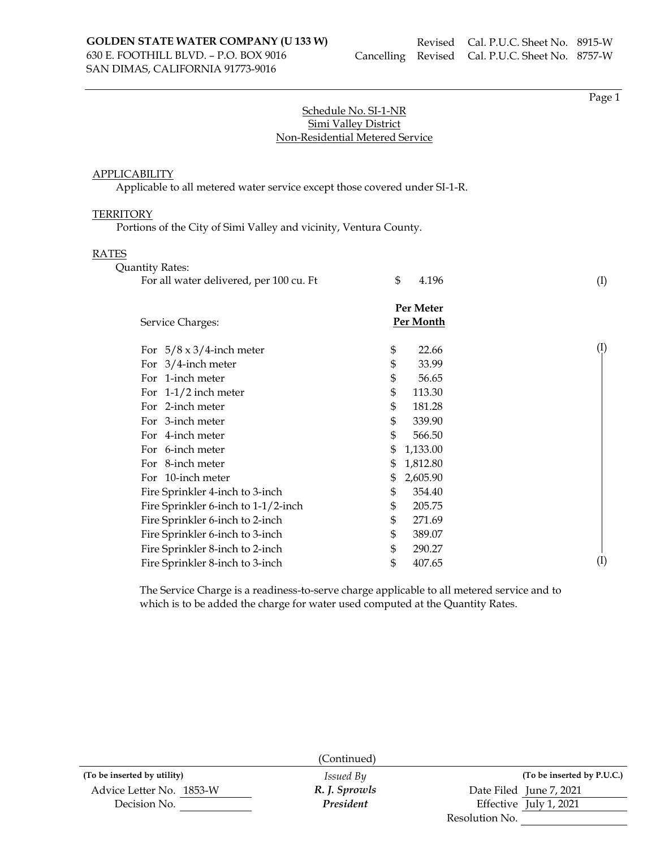Page 1

## Schedule No. SI-1-NR Simi Valley District Non-Residential Metered Service

### APPLICABILITY

Applicable to all metered water service except those covered under SI-1-R.

#### **TERRITORY**

Portions of the City of Simi Valley and vicinity, Ventura County.

#### RATES

| <b>Quantity Rates:</b>                                                                                                                                                                                                                                                          |                                                                                                                                                    |                            |
|---------------------------------------------------------------------------------------------------------------------------------------------------------------------------------------------------------------------------------------------------------------------------------|----------------------------------------------------------------------------------------------------------------------------------------------------|----------------------------|
| For all water delivered, per 100 cu. Ft                                                                                                                                                                                                                                         | \$<br>4.196                                                                                                                                        | (I)                        |
| Service Charges:                                                                                                                                                                                                                                                                | Per Meter<br>Per Month                                                                                                                             |                            |
| For $5/8 \times 3/4$ -inch meter<br>For $3/4$ -inch meter<br>For 1-inch meter<br>For $1-1/2$ inch meter<br>For 2-inch meter<br>For 3-inch meter<br>For 4-inch meter                                                                                                             | \$<br>22.66<br>\$<br>33.99<br>\$<br>56.65<br>\$<br>113.30<br>\$<br>181.28<br>\$<br>339.90<br>\$<br>566.50                                          | $\left(\frac{1}{2}\right)$ |
| For 6-inch meter<br>For 8-inch meter<br>For 10-inch meter<br>Fire Sprinkler 4-inch to 3-inch<br>Fire Sprinkler 6-inch to 1-1/2-inch<br>Fire Sprinkler 6-inch to 2-inch<br>Fire Sprinkler 6-inch to 3-inch<br>Fire Sprinkler 8-inch to 2-inch<br>Fire Sprinkler 8-inch to 3-inch | \$<br>1,133.00<br>\$<br>1,812.80<br>\$<br>2,605.90<br>\$<br>354.40<br>\$<br>205.75<br>\$<br>271.69<br>\$<br>389.07<br>\$<br>290.27<br>\$<br>407.65 | $\rm(I)$                   |

The Service Charge is a readiness-to-serve charge applicable to all metered service and to which is to be added the charge for water used computed at the Quantity Rates.

|                             | (Continued)      |                         |                            |
|-----------------------------|------------------|-------------------------|----------------------------|
| (To be inserted by utility) | <i>Issued By</i> |                         | (To be inserted by P.U.C.) |
| Advice Letter No. 1853-W    | R. J. Sprowls    | Date Filed June 7, 2021 |                            |
| Decision No.                | President        | Effective July 1, 2021  |                            |
|                             |                  | Resolution No.          |                            |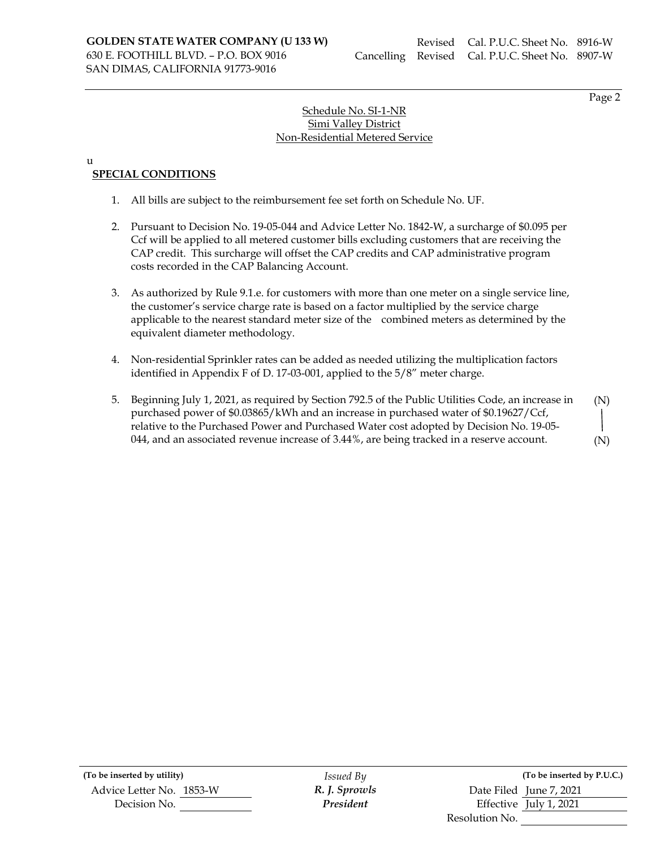Page 2

# Schedule No. SI-1-NR Simi Valley District Non-Residential Metered Service

#### u

# **SPECIAL CONDITIONS**

- 1. All bills are subject to the reimbursement fee set forth on Schedule No. UF.
- 2. Pursuant to Decision No. 19-05-044 and Advice Letter No. 1842-W, a surcharge of \$0.095 per Ccf will be applied to all metered customer bills excluding customers that are receiving the CAP credit. This surcharge will offset the CAP credits and CAP administrative program costs recorded in the CAP Balancing Account.
- 3. As authorized by Rule 9.1.e. for customers with more than one meter on a single service line, the customer's service charge rate is based on a factor multiplied by the service charge applicable to the nearest standard meter size of the combined meters as determined by the equivalent diameter methodology.
- 4. Non-residential Sprinkler rates can be added as needed utilizing the multiplication factors identified in Appendix F of D. 17-03-001, applied to the 5/8" meter charge.
- 5. Beginning July 1, 2021, as required by Section 792.5 of the Public Utilities Code, an increase in purchased power of \$0.03865/kWh and an increase in purchased water of \$0.19627/Ccf, relative to the Purchased Power and Purchased Water cost adopted by Decision No. 19-05- 044, and an associated revenue increase of 3.44%, are being tracked in a reserve account. (N)

(To be inserted by utility) *Issued By* Advice Letter No. 1853-W **R. J. Sprowls** Decision No. **President** 

|                | (To be inserted by P.U.C.) |
|----------------|----------------------------|
|                | Date Filed June 7, 2021    |
|                | Effective July 1, 2021     |
| Resolution No. |                            |